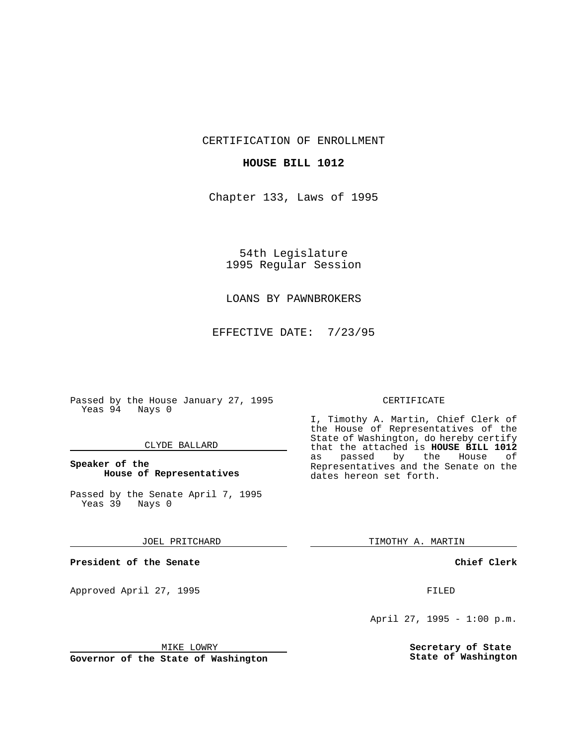CERTIFICATION OF ENROLLMENT

## **HOUSE BILL 1012**

Chapter 133, Laws of 1995

54th Legislature 1995 Regular Session

## LOANS BY PAWNBROKERS

EFFECTIVE DATE: 7/23/95

Passed by the House January 27, 1995 Yeas 94 Nays 0

### CLYDE BALLARD

## **Speaker of the House of Representatives**

Passed by the Senate April 7, 1995 Yeas 39 Nays 0

### JOEL PRITCHARD

**President of the Senate**

Approved April 27, 1995 FILED

## MIKE LOWRY

**Governor of the State of Washington**

### CERTIFICATE

I, Timothy A. Martin, Chief Clerk of the House of Representatives of the State of Washington, do hereby certify that the attached is **HOUSE BILL 1012** as passed by the House of Representatives and the Senate on the dates hereon set forth.

TIMOTHY A. MARTIN

### **Chief Clerk**

April 27, 1995 - 1:00 p.m.

**Secretary of State State of Washington**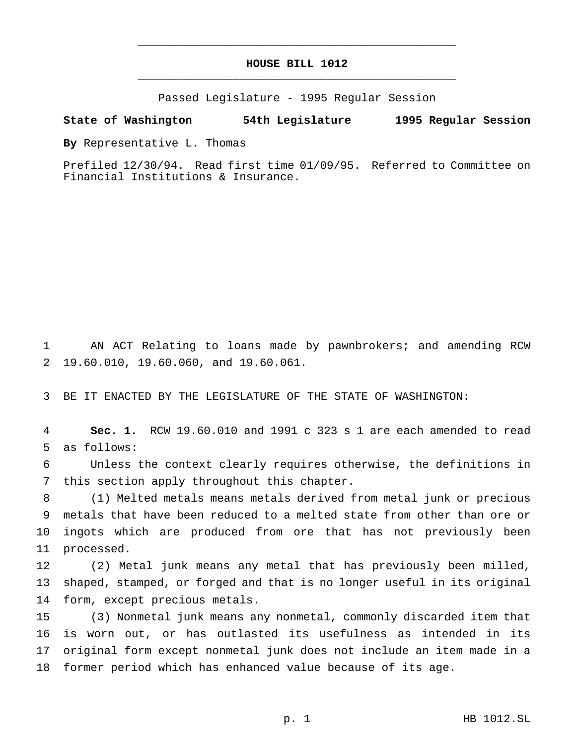# **HOUSE BILL 1012** \_\_\_\_\_\_\_\_\_\_\_\_\_\_\_\_\_\_\_\_\_\_\_\_\_\_\_\_\_\_\_\_\_\_\_\_\_\_\_\_\_\_\_\_\_\_\_

\_\_\_\_\_\_\_\_\_\_\_\_\_\_\_\_\_\_\_\_\_\_\_\_\_\_\_\_\_\_\_\_\_\_\_\_\_\_\_\_\_\_\_\_\_\_\_

Passed Legislature - 1995 Regular Session

#### **State of Washington 54th Legislature 1995 Regular Session**

**By** Representative L. Thomas

Prefiled 12/30/94. Read first time 01/09/95. Referred to Committee on Financial Institutions & Insurance.

 AN ACT Relating to loans made by pawnbrokers; and amending RCW 19.60.010, 19.60.060, and 19.60.061.

BE IT ENACTED BY THE LEGISLATURE OF THE STATE OF WASHINGTON:

 **Sec. 1.** RCW 19.60.010 and 1991 c 323 s 1 are each amended to read as follows:

 Unless the context clearly requires otherwise, the definitions in this section apply throughout this chapter.

 (1) Melted metals means metals derived from metal junk or precious metals that have been reduced to a melted state from other than ore or ingots which are produced from ore that has not previously been processed.

 (2) Metal junk means any metal that has previously been milled, shaped, stamped, or forged and that is no longer useful in its original form, except precious metals.

 (3) Nonmetal junk means any nonmetal, commonly discarded item that is worn out, or has outlasted its usefulness as intended in its original form except nonmetal junk does not include an item made in a former period which has enhanced value because of its age.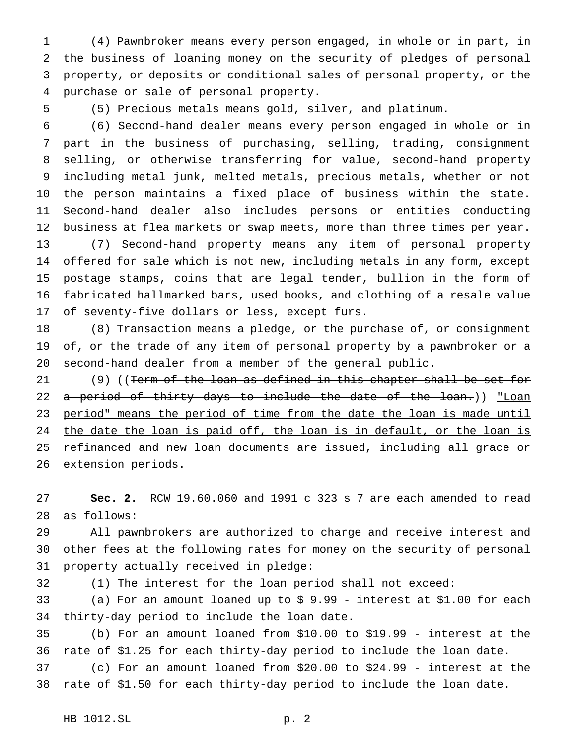(4) Pawnbroker means every person engaged, in whole or in part, in the business of loaning money on the security of pledges of personal property, or deposits or conditional sales of personal property, or the purchase or sale of personal property.

(5) Precious metals means gold, silver, and platinum.

 (6) Second-hand dealer means every person engaged in whole or in part in the business of purchasing, selling, trading, consignment selling, or otherwise transferring for value, second-hand property including metal junk, melted metals, precious metals, whether or not the person maintains a fixed place of business within the state. Second-hand dealer also includes persons or entities conducting business at flea markets or swap meets, more than three times per year. (7) Second-hand property means any item of personal property offered for sale which is not new, including metals in any form, except postage stamps, coins that are legal tender, bullion in the form of fabricated hallmarked bars, used books, and clothing of a resale value of seventy-five dollars or less, except furs.

 (8) Transaction means a pledge, or the purchase of, or consignment of, or the trade of any item of personal property by a pawnbroker or a second-hand dealer from a member of the general public.

21 (9) ((<del>Term of the loan as defined in this chapter shall be set for</del> 22 a period of thirty days to include the date of the loan.)) "Loan 23 period" means the period of time from the date the loan is made until 24 the date the loan is paid off, the loan is in default, or the loan is 25 refinanced and new loan documents are issued, including all grace or extension periods.

 **Sec. 2.** RCW 19.60.060 and 1991 c 323 s 7 are each amended to read as follows:

 All pawnbrokers are authorized to charge and receive interest and other fees at the following rates for money on the security of personal property actually received in pledge:

32 (1) The interest for the loan period shall not exceed:

 (a) For an amount loaned up to \$ 9.99 - interest at \$1.00 for each thirty-day period to include the loan date.

 (b) For an amount loaned from \$10.00 to \$19.99 - interest at the rate of \$1.25 for each thirty-day period to include the loan date.

 (c) For an amount loaned from \$20.00 to \$24.99 - interest at the rate of \$1.50 for each thirty-day period to include the loan date.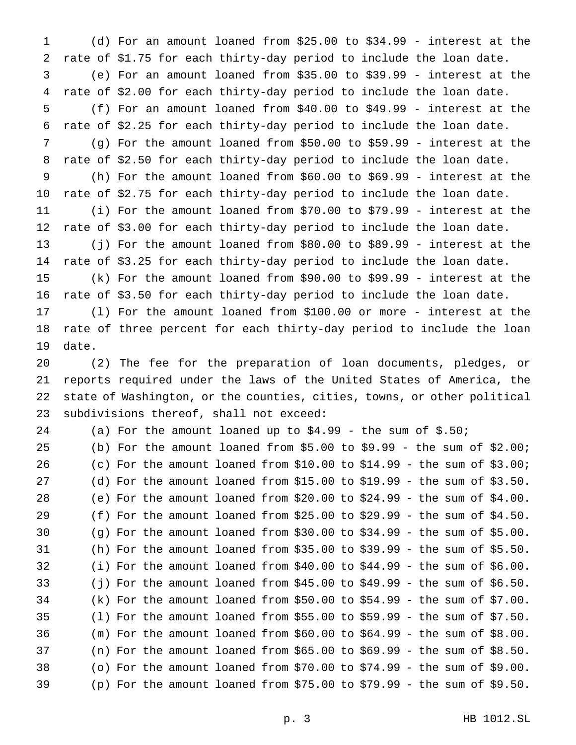(d) For an amount loaned from \$25.00 to \$34.99 - interest at the rate of \$1.75 for each thirty-day period to include the loan date. (e) For an amount loaned from \$35.00 to \$39.99 - interest at the rate of \$2.00 for each thirty-day period to include the loan date. (f) For an amount loaned from \$40.00 to \$49.99 - interest at the rate of \$2.25 for each thirty-day period to include the loan date. (g) For the amount loaned from \$50.00 to \$59.99 - interest at the rate of \$2.50 for each thirty-day period to include the loan date. (h) For the amount loaned from \$60.00 to \$69.99 - interest at the rate of \$2.75 for each thirty-day period to include the loan date. (i) For the amount loaned from \$70.00 to \$79.99 - interest at the rate of \$3.00 for each thirty-day period to include the loan date. (j) For the amount loaned from \$80.00 to \$89.99 - interest at the rate of \$3.25 for each thirty-day period to include the loan date. (k) For the amount loaned from \$90.00 to \$99.99 - interest at the rate of \$3.50 for each thirty-day period to include the loan date. (l) For the amount loaned from \$100.00 or more - interest at the rate of three percent for each thirty-day period to include the loan date.

 (2) The fee for the preparation of loan documents, pledges, or reports required under the laws of the United States of America, the state of Washington, or the counties, cities, towns, or other political subdivisions thereof, shall not exceed:

| 24 |  |  | (a) For the amount loaned up to $$4.99$ - the sum of $$.50i$               |  |  |  |  |  |
|----|--|--|----------------------------------------------------------------------------|--|--|--|--|--|
| 25 |  |  | (b) For the amount loaned from $$5.00$ to $$9.99$ - the sum of $$2.00$ ;   |  |  |  |  |  |
| 26 |  |  | (c) For the amount loaned from $$10.00$ to $$14.99$ - the sum of $$3.00$ ; |  |  |  |  |  |
| 27 |  |  | (d) For the amount loaned from \$15.00 to \$19.99 - the sum of $$3.50$ .   |  |  |  |  |  |
| 28 |  |  | (e) For the amount loaned from \$20.00 to \$24.99 - the sum of $$4.00$ .   |  |  |  |  |  |
| 29 |  |  | (f) For the amount loaned from \$25.00 to \$29.99 - the sum of $$4.50$ .   |  |  |  |  |  |
| 30 |  |  | (g) For the amount loaned from \$30.00 to \$34.99 - the sum of \$5.00.     |  |  |  |  |  |
| 31 |  |  | (h) For the amount loaned from \$35.00 to \$39.99 - the sum of \$5.50.     |  |  |  |  |  |
| 32 |  |  | (i) For the amount loaned from $$40.00$ to $$44.99$ - the sum of $$6.00$ . |  |  |  |  |  |
| 33 |  |  | (j) For the amount loaned from \$45.00 to \$49.99 - the sum of \$6.50.     |  |  |  |  |  |
| 34 |  |  | (k) For the amount loaned from \$50.00 to \$54.99 - the sum of $$7.00$ .   |  |  |  |  |  |
| 35 |  |  | (1) For the amount loaned from \$55.00 to \$59.99 - the sum of $$7.50$ .   |  |  |  |  |  |
| 36 |  |  | (m) For the amount loaned from $$60.00$ to $$64.99$ - the sum of $$8.00$ . |  |  |  |  |  |
| 37 |  |  | (n) For the amount loaned from $$65.00$ to $$69.99$ - the sum of $$8.50$ . |  |  |  |  |  |
| 38 |  |  | (o) For the amount loaned from \$70.00 to \$74.99 - the sum of \$9.00.     |  |  |  |  |  |
| 39 |  |  | (p) For the amount loaned from \$75.00 to \$79.99 - the sum of \$9.50.     |  |  |  |  |  |
|    |  |  |                                                                            |  |  |  |  |  |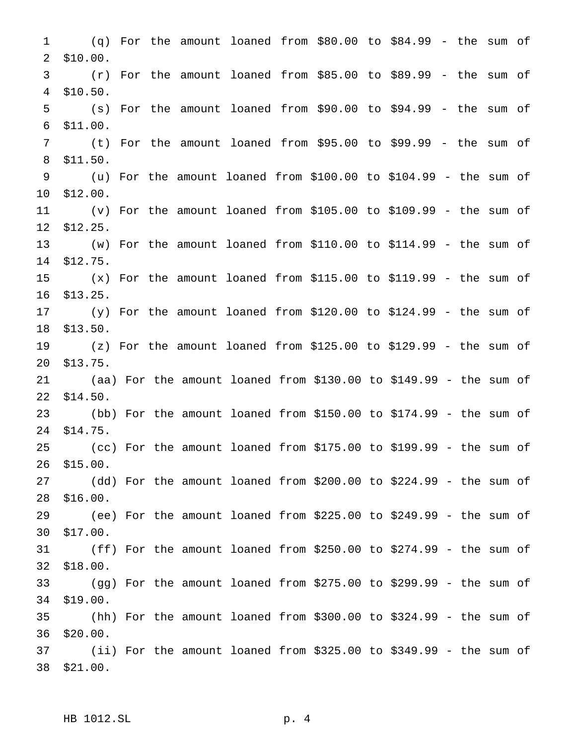(q) For the amount loaned from \$80.00 to \$84.99 - the sum of \$10.00. (r) For the amount loaned from \$85.00 to \$89.99 - the sum of \$10.50. (s) For the amount loaned from \$90.00 to \$94.99 - the sum of \$11.00. (t) For the amount loaned from \$95.00 to \$99.99 - the sum of \$11.50. (u) For the amount loaned from \$100.00 to \$104.99 - the sum of \$12.00. (v) For the amount loaned from \$105.00 to \$109.99 - the sum of \$12.25. (w) For the amount loaned from \$110.00 to \$114.99 - the sum of \$12.75. (x) For the amount loaned from \$115.00 to \$119.99 - the sum of \$13.25. (y) For the amount loaned from \$120.00 to \$124.99 - the sum of \$13.50. (z) For the amount loaned from \$125.00 to \$129.99 - the sum of \$13.75. (aa) For the amount loaned from \$130.00 to \$149.99 - the sum of \$14.50. (bb) For the amount loaned from \$150.00 to \$174.99 - the sum of \$14.75. (cc) For the amount loaned from \$175.00 to \$199.99 - the sum of \$15.00. (dd) For the amount loaned from \$200.00 to \$224.99 - the sum of \$16.00. (ee) For the amount loaned from \$225.00 to \$249.99 - the sum of \$17.00. (ff) For the amount loaned from \$250.00 to \$274.99 - the sum of \$18.00. (gg) For the amount loaned from \$275.00 to \$299.99 - the sum of \$19.00. (hh) For the amount loaned from \$300.00 to \$324.99 - the sum of \$20.00. (ii) For the amount loaned from \$325.00 to \$349.99 - the sum of \$21.00.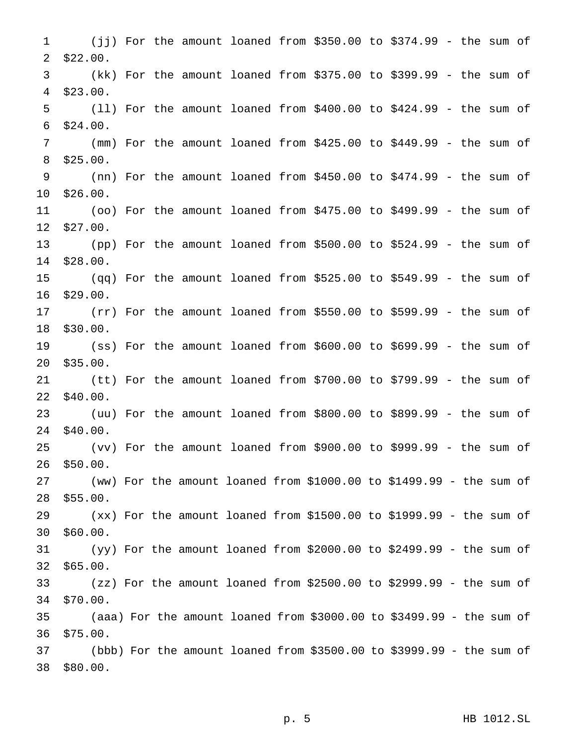(jj) For the amount loaned from \$350.00 to \$374.99 - the sum of \$22.00. (kk) For the amount loaned from \$375.00 to \$399.99 - the sum of \$23.00. (ll) For the amount loaned from \$400.00 to \$424.99 - the sum of \$24.00. (mm) For the amount loaned from \$425.00 to \$449.99 - the sum of \$25.00. (nn) For the amount loaned from \$450.00 to \$474.99 - the sum of \$26.00. (oo) For the amount loaned from \$475.00 to \$499.99 - the sum of \$27.00. (pp) For the amount loaned from \$500.00 to \$524.99 - the sum of \$28.00. (qq) For the amount loaned from \$525.00 to \$549.99 - the sum of \$29.00. (rr) For the amount loaned from \$550.00 to \$599.99 - the sum of \$30.00. (ss) For the amount loaned from \$600.00 to \$699.99 - the sum of \$35.00. (tt) For the amount loaned from \$700.00 to \$799.99 - the sum of \$40.00. (uu) For the amount loaned from \$800.00 to \$899.99 - the sum of \$40.00. (vv) For the amount loaned from \$900.00 to \$999.99 - the sum of \$50.00. (ww) For the amount loaned from \$1000.00 to \$1499.99 - the sum of \$55.00. (xx) For the amount loaned from \$1500.00 to \$1999.99 - the sum of \$60.00. (yy) For the amount loaned from \$2000.00 to \$2499.99 - the sum of \$65.00. (zz) For the amount loaned from \$2500.00 to \$2999.99 - the sum of \$70.00. (aaa) For the amount loaned from \$3000.00 to \$3499.99 - the sum of \$75.00. (bbb) For the amount loaned from \$3500.00 to \$3999.99 - the sum of \$80.00.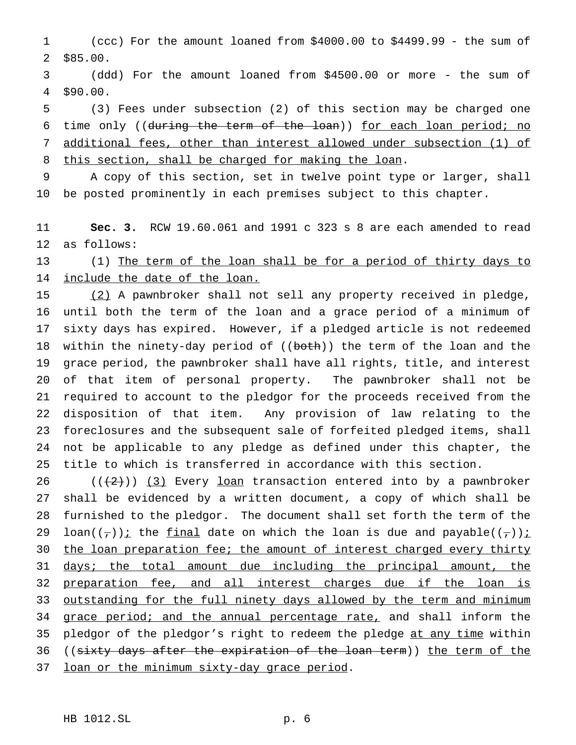(ccc) For the amount loaned from \$4000.00 to \$4499.99 - the sum of \$85.00.

 (ddd) For the amount loaned from \$4500.00 or more - the sum of \$90.00.

 (3) Fees under subsection (2) of this section may be charged one 6 time only ((during the term of the loan)) for each loan period; no additional fees, other than interest allowed under subsection (1) of 8 this section, shall be charged for making the loan.

 A copy of this section, set in twelve point type or larger, shall be posted prominently in each premises subject to this chapter.

 **Sec. 3.** RCW 19.60.061 and 1991 c 323 s 8 are each amended to read as follows:

 (1) The term of the loan shall be for a period of thirty days to 14 include the date of the loan.

 (2) A pawnbroker shall not sell any property received in pledge, until both the term of the loan and a grace period of a minimum of sixty days has expired. However, if a pledged article is not redeemed 18 within the ninety-day period of ((both)) the term of the loan and the grace period, the pawnbroker shall have all rights, title, and interest of that item of personal property. The pawnbroker shall not be required to account to the pledgor for the proceeds received from the disposition of that item. Any provision of law relating to the foreclosures and the subsequent sale of forfeited pledged items, shall not be applicable to any pledge as defined under this chapter, the title to which is transferred in accordance with this section.

 $((+2))$   $(3)$  Every loan transaction entered into by a pawnbroker shall be evidenced by a written document, a copy of which shall be furnished to the pledgor. The document shall set forth the term of the 29 loan( $(\tau)$ ): the final date on which the loan is due and payable( $(\tau)$ ): 30 the loan preparation fee; the amount of interest charged every thirty 31 days; the total amount due including the principal amount, the 32 preparation fee, and all interest charges due if the loan is 33 outstanding for the full ninety days allowed by the term and minimum 34 grace period; and the annual percentage rate, and shall inform the 35 pledgor of the pledgor's right to redeem the pledge at any time within 36 ((sixty days after the expiration of the loan term)) the term of the 37 loan or the minimum sixty-day grace period.